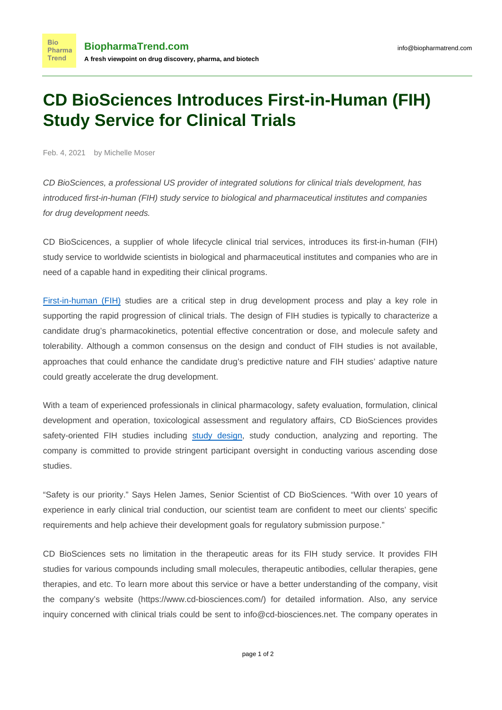## **CD BioSciences Introduces First-in-Human (FIH) Study Service for Clinical Trials**

Feb. 4, 2021 by Michelle Moser

**Bio** 

**Trend** 

CD BioSciences, a professional US provider of integrated solutions for [clinical trials development](https://www.cd-biosciences.com/clinical/), has introduced first-in-human (FIH) study service to biological and pharmaceutical institutes and companies for drug development needs.

CD BioScicences, a supplier of whole lifecycle clinical trial services, introduces its first-in-human (FIH) study service to worldwide scientists in biological and pharmaceutical institutes and companies who are in need of a capable hand in expediting their clinical programs.

[First-in-human \(FIH\)](https://www.cd-biosciences.com/first-in-human-fih/) studies are a critical step in drug development process and play a key role in supporting the rapid progression of clinical trials. The design of FIH studies is typically to characterize a candidate drug's pharmacokinetics, potential effective concentration or dose, and molecule safety and tolerability. Although a common consensus on the design and conduct of FIH studies is not available, approaches that could enhance the candidate drug's predictive nature and FIH studies' adaptive nature could greatly accelerate the drug development.

With a team of experienced professionals in clinical pharmacology, safety evaluation, formulation, clinical development and operation, toxicological assessment and regulatory affairs, CD BioSciences provides safety-oriented FIH studies including [study design](https://www.cd-biosciences.com/study-design/), study conduction, analyzing and reporting. The company is committed to provide stringent participant oversight in conducting various ascending dose studies.

"Safety is our priority." Says Helen James, Senior Scientist of CD BioSciences. "With over 10 years of experience in early clinical trial conduction, our scientist team are confident to meet our clients' specific requirements and help achieve their development goals for regulatory submission purpose."

CD BioSciences sets no limitation in the therapeutic areas for its FIH study service. It provides FIH studies for various compounds including small molecules, therapeutic antibodies, cellular therapies, gene therapies, and etc. To learn more about this service or have a better understanding of the company, visit the company's website (https://www.cd-biosciences.com/) for detailed information. Also, any service inquiry concerned with clinical trials could be sent to info@cd-biosciences.net. The company operates in